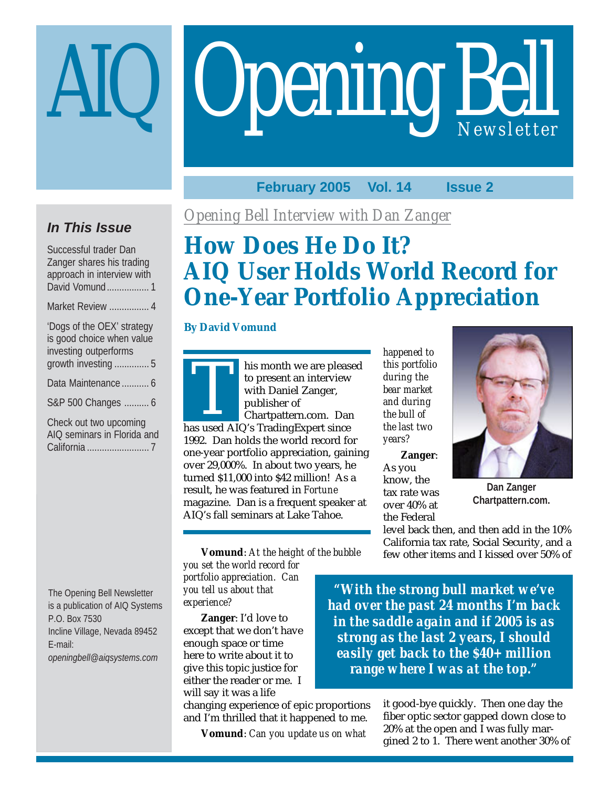# **Opening Bell**

# **February 2005 Vol. 14 Issue 2**

# **In This Issue**

Successful trader Dan Zanger shares his trading approach in interview with David Vomund................. 1 Market Review ................ 4

| 'Dogs of the OEX' strategy<br>is good choice when value<br>investing outperforms |
|----------------------------------------------------------------------------------|
| growth investing  5                                                              |
| Data Maintenance  6                                                              |
| S&P 500 Changes  6                                                               |
| Chaolisut tuis important                                                         |

Check out two upcoming AIQ seminars in Florida and California ......................... 7

*Opening Bell Interview with Dan Zanger*

# **How Does He Do It? AIQ User Holds World Record for One-Year Portfolio Appreciation**

# **By David Vomund**

The smokin we are preased to present an interview<br>with Daniel Zanger,<br>publisher of<br>chartpattern.com. Dan<br>has used AIQ's TradingExpert since his month we are pleased to present an interview with Daniel Zanger, publisher of Chartpattern.com. Dan 1992. Dan holds the world record for one-year portfolio appreciation, gaining over 29,000%. In about two years, he turned \$11,000 into \$42 million! As a result, he was featured in *Fortune* magazine. Dan is a frequent speaker at AIQ's fall seminars at Lake Tahoe.

*happened to this portfolio during the bear market and during the bull of the last two years?*

**Zanger**: As you know, the tax rate was over 40% at the Federal



**Dan Zanger Chartpattern.com.**

level back then, and then add in the 10% California tax rate, Social Security, and a few other items and I kissed over 50% of

The Opening Bell Newsletter is a publication of AIQ Systems P.O. Box 7530 Incline Village, Nevada 89452 E-mail: *openingbell@aiqsystems.com*

*you set the world record for portfolio appreciation. Can you tell us about that experience?*

**Zanger**: I'd love to except that we don't have enough space or time here to write about it to give this topic justice for either the reader or me. I will say it was a life

changing experience of epic proportions and I'm thrilled that it happened to me.

**Vomund**: *Can you update us on what*

*"With the strong bull market we've had over the past 24 months I'm back in the saddle again and if 2005 is as strong as the last 2 years, I should easily get back to the \$40+ million range where I was at the top."*

> it good-bye quickly. Then one day the fiber optic sector gapped down close to 20% at the open and I was fully margined 2 to 1. There went another 30% of

**Vomund**: *At the height of the bubble*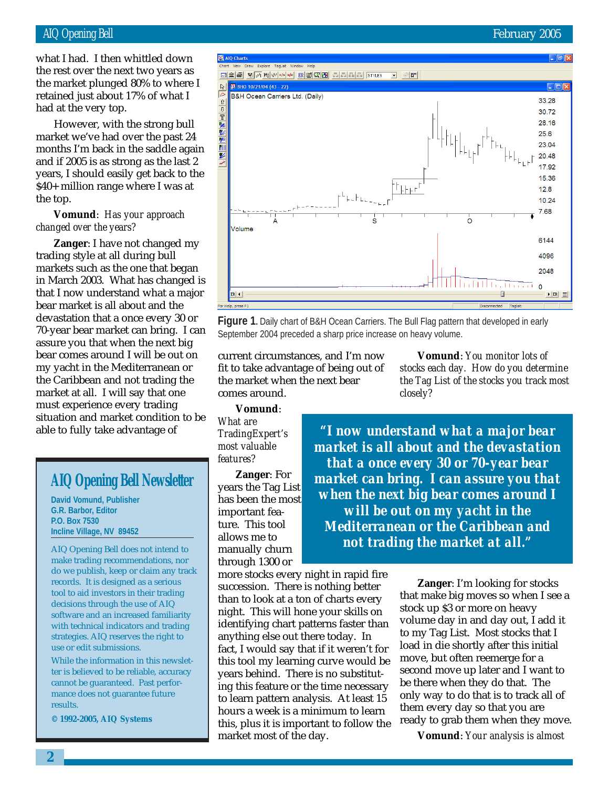retained just about 17% of what I<br>I what I had. I then whittled down the rest over the next two years as the market plunged 80% to where I had at the very top.

However, with the strong bull market we've had over the past 24 months I'm back in the saddle again and if 2005 is as strong as the last 2 years, I should easily get back to the \$40+ million range where I was at the top.

# **Vomund**: *Has your approach changed over the years?*

**Zanger**: I have not changed my trading style at all during bull markets such as the one that began in March 2003. What has changed is that I now understand what a major bear market is all about and the devastation that a once every 30 or 70-year bear market can bring. I can assure you that when the next big bear comes around I will be out on my yacht in the Mediterranean or the Caribbean and not trading the market at all. I will say that one must experience every trading situation and market condition to be able to fully take advantage of

# **AIQ Opening Bell Newsletter**

**David Vomund, Publisher G.R. Barbor, Editor P.O. Box 7530 Incline Village, NV 89452**

AIQ Opening Bell does not intend to make trading recommendations, nor do we publish, keep or claim any track records. It is designed as a serious tool to aid investors in their trading decisions through the use of AIQ software and an increased familiarity with technical indicators and trading strategies. AIQ reserves the right to use or edit submissions.

While the information in this newsletter is believed to be reliable, accuracy cannot be guaranteed. Past performance does not guarantee future results.

**© 1992-2005, AIQ Systems**

# Volume

September 2004 preceded a sharp price increase on heavy volume. current circumstances, and I'm now fit to take advantage of being out of the market when the next bear

**Vomund**: *You monitor lots of stocks each day. How do you determine the Tag List of the stocks you track most closely?*

comes around. **Vomund**:

*What are TradingExpert's most valuable features?*

**Zanger**: For years the Tag List has been the most important feature. This tool allows me to manually churn through 1300 or

more stocks every night in rapid fire succession. There is nothing better than to look at a ton of charts every night. This will hone your skills on identifying chart patterns faster than anything else out there today. In fact, I would say that if it weren't for this tool my learning curve would be years behind. There is no substituting this feature or the time necessary to learn pattern analysis. At least 15 hours a week is a minimum to learn this, plus it is important to follow the market most of the day.

*"I now understand what a major bear market is all about and the devastation that a once every 30 or 70-year bear market can bring. I can assure you that when the next big bear comes around I will be out on my yacht in the Mediterranean or the Caribbean and not trading the market at all."*

> **Zanger**: I'm looking for stocks that make big moves so when I see a stock up \$3 or more on heavy volume day in and day out, I add it to my Tag List. Most stocks that I load in die shortly after this initial move, but often reemerge for a second move up later and I want to be there when they do that. The only way to do that is to track all of them every day so that you are ready to grab them when they move.

**Vomund**: *Your analysis is almost*





**Figure 1.** Daily chart of B&H Ocean Carriers. The Bull Flag pattern that developed in early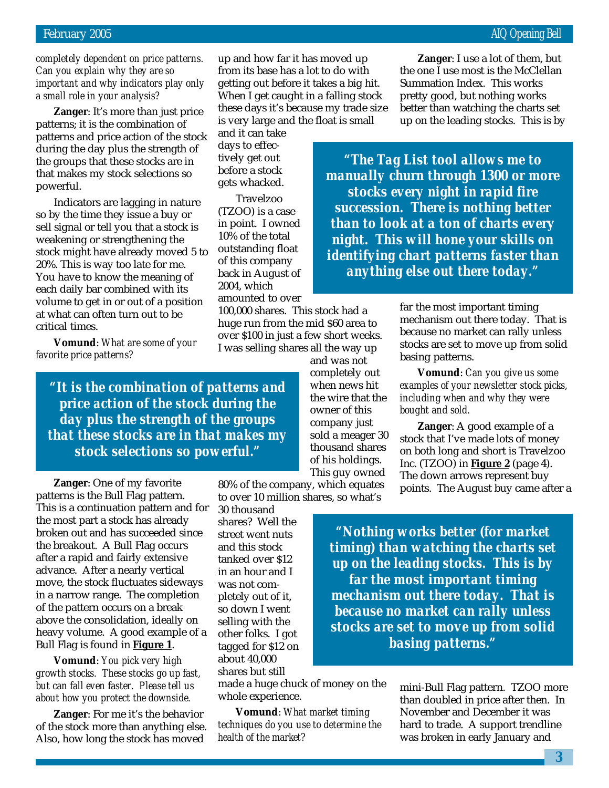# February 2005 **AIQ** Opening Bell

*completely dependent on price patterns. Can you explain why they are so important and why indicators play only a small role in your analysis?*

**Zanger**: It's more than just price patterns; it is the combination of patterns and price action of the stock during the day plus the strength of the groups that these stocks are in that makes my stock selections so powerful.

Indicators are lagging in nature so by the time they issue a buy or sell signal or tell you that a stock is weakening or strengthening the stock might have already moved 5 to 20%. This is way too late for me. You have to know the meaning of each daily bar combined with its volume to get in or out of a position at what can often turn out to be critical times.

**Vomund**: *What are some of your favorite price patterns?*

*"It is the combination of patterns and price action of the stock during the day plus the strength of the groups that these stocks are in that makes my stock selections so powerful."*

**Zanger**: One of my favorite patterns is the Bull Flag pattern. This is a continuation pattern and for the most part a stock has already broken out and has succeeded since the breakout. A Bull Flag occurs after a rapid and fairly extensive advance. After a nearly vertical move, the stock fluctuates sideways in a narrow range. The completion of the pattern occurs on a break above the consolidation, ideally on heavy volume. A good example of a Bull Flag is found in **Figure 1**.

**Vomund**: *You pick very high growth stocks. These stocks go up fast, but can fall even faster. Please tell us about how you protect the downside.*

**Zanger**: For me it's the behavior of the stock more than anything else. Also, how long the stock has moved

up and how far it has moved up from its base has a lot to do with getting out before it takes a big hit. When I get caught in a falling stock these days it's because my trade size is very large and the float is small

and it can take days to effectively get out before a stock gets whacked.

Travelzoo (TZOO) is a case in point. I owned 10% of the total outstanding float of this company back in August of 2004, which amounted to over

100,000 shares. This stock had a huge run from the mid \$60 area to over \$100 in just a few short weeks. I was selling shares all the way up

> and was not completely out when news hit the wire that the owner of this company just sold a meager 30 thousand shares of his holdings. This guy owned

80% of the company, which equates to over 10 million shares, so what's

30 thousand shares? Well the street went nuts and this stock tanked over \$12 in an hour and I was not completely out of it, so down I went selling with the other folks. I got tagged for \$12 on about 40,000 shares but still

made a huge chuck of money on the whole experience.

**Vomund**: *What market timing techniques do you use to determine the health of the market?*

**Zanger**: I use a lot of them, but the one I use most is the McClellan Summation Index. This works pretty good, but nothing works better than watching the charts set up on the leading stocks. This is by

*"The Tag List tool allows me to manually churn through 1300 or more stocks every night in rapid fire succession. There is nothing better than to look at a ton of charts every night. This will hone your skills on identifying chart patterns faster than anything else out there today."*

> far the most important timing mechanism out there today. That is because no market can rally unless stocks are set to move up from solid basing patterns.

> **Vomund**: *Can you give us some examples of your newsletter stock picks, including when and why they were bought and sold.*

**Zanger**: A good example of a stock that I've made lots of money on both long and short is Travelzoo Inc. (TZOO) in **Figure 2** (page 4). The down arrows represent buy points. The August buy came after a

*"Nothing works better (for market timing) than watching the charts set up on the leading stocks. This is by far the most important timing mechanism out there today. That is because no market can rally unless stocks are set to move up from solid basing patterns."*

> mini-Bull Flag pattern. TZOO more than doubled in price after then. In November and December it was hard to trade. A support trendline was broken in early January and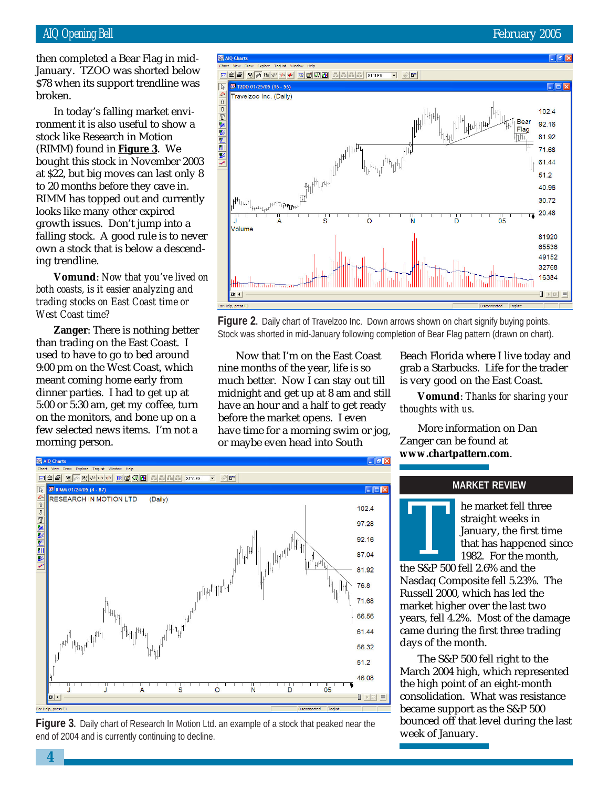# AIQ Opening Bell February 2005

then completed a Bear Flag in mid-January. TZOO was shorted below \$78 when its support trendline was broken.

In today's falling market environment it is also useful to show a stock like Research in Motion (RIMM) found in **Figure 3**. We bought this stock in November 2003 at \$22, but big moves can last only 8 to 20 months before they cave in. RIMM has topped out and currently looks like many other expired growth issues. Don't jump into a falling stock. A good rule is to never own a stock that is below a descending trendline.

**Vomund**: *Now that you've lived on both coasts, is it easier analyzing and trading stocks on East Coast time or West Coast time?*

**Zanger**: There is nothing better than trading on the East Coast. I used to have to go to bed around 9:00 pm on the West Coast, which meant coming home early from dinner parties. I had to get up at 5:00 or 5:30 am, get my coffee, turn on the monitors, and bone up on a few selected news items. I'm not a morning person.



**Figure 2.** Daily chart of Travelzoo Inc. Down arrows shown on chart signify buying points. Stock was shorted in mid-January following completion of Bear Flag pattern (drawn on chart).

Now that I'm on the East Coast nine months of the year, life is so much better. Now I can stay out till midnight and get up at 8 am and still have an hour and a half to get ready before the market opens. I even have time for a morning swim or jog, or maybe even head into South

Beach Florida where I live today and grab a Starbucks. Life for the trader is very good on the East Coast.

**Vomund**: *Thanks for sharing your thoughts with us.*

More information on Dan Zanger can be found at **www.chartpattern.com**.



**Figure 3.** Daily chart of Research In Motion Ltd. an example of a stock that peaked near the end of 2004 and is currently continuing to decline.

# **MARKET REVIEW**



he market fell three straight weeks in January, the first time that has happened since 1982. For the month, the market ien us<br>straight weeks is<br>lanuary, the firs<br>that has happen<br>1982. For the m<br>the S&P 500 fell 2.6% and the

Nasdaq Composite fell 5.23%. The Russell 2000, which has led the market higher over the last two years, fell 4.2%. Most of the damage came during the first three trading days of the month.

The S&P 500 fell right to the March 2004 high, which represented the high point of an eight-month consolidation. What was resistance became support as the S&P 500 bounced off that level during the last week of January.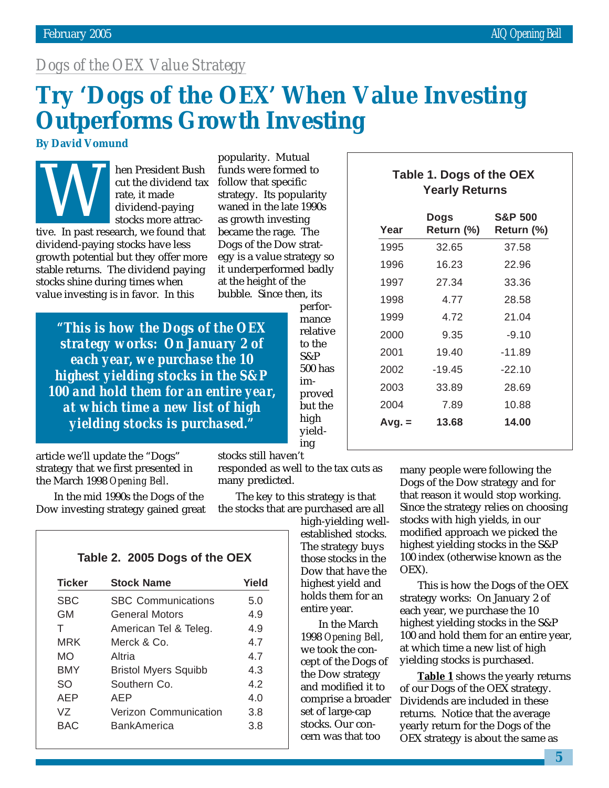# *Dogs of the OEX Value Strategy*

# **Try 'Dogs of the OEX' When Value Investing Outperforms Growth Investing**

# **By David Vomund**

hen President Bush cut the dividend tax rate, it made dividend-paying stocks more attrac-

tive. In past research, we found that dividend-paying stocks have less growth potential but they offer more stable returns. The dividend paying stocks shine during times when value investing is in favor. In this

popularity. Mutual funds were formed to follow that specific strategy. Its popularity waned in the late 1990s as growth investing became the rage. The Dogs of the Dow strategy is a value strategy so it underperformed badly at the height of the bubble. Since then, its Table 1. Dogs of the OEX<br>
cut the dividend tax follow that specific<br>
rate, it made<br>
strategy. Its popularity<br>
stocks more attrace as growth investing<br>
Nearly Returns<br>
Dogs S&P 500<br>
Stocks more attrace as growth investing<br>

*"This is how the Dogs of the OEX strategy works: On January 2 of each year, we purchase the 10 highest yielding stocks in the S&P 100 and hold them for an entire year, at which time a new list of high yielding stocks is purchased."*

article we'll update the "Dogs" strategy that we first presented in the March 1998 *Opening Bell*.

In the mid 1990s the Dogs of the Dow investing strategy gained great

performance relative to the S&P 500 has improved but the high yielding

# **Yearly Returns**

| Year     | Dogs<br>Return (%) | <b>S&amp;P 500</b><br>Return (%) |
|----------|--------------------|----------------------------------|
| 1995     | 32.65              | 37.58                            |
| 1996     | 16.23              | 22.96                            |
| 1997     | 27.34              | 33.36                            |
| 1998     | 4.77               | 28.58                            |
| 1999     | 4.72               | 21.04                            |
| 2000     | 9.35               | $-9.10$                          |
| 2001     | 19.40              | $-11.89$                         |
| 2002     | $-19.45$           | $-22.10$                         |
| 2003     | 33.89              | 28.69                            |
| 2004     | 7.89               | 10.88                            |
| $Avg. =$ | 13.68              | 14.00                            |
|          |                    |                                  |

stocks still haven't

responded as well to the tax cuts as many predicted.

The key to this strategy is that the stocks that are purchased are all

> high-yielding wellestablished stocks. The strategy buys those stocks in the Dow that have the highest yield and holds them for an

> > entire year. In the March 1998 *Opening Bell*, we took the concept of the Dogs of the Dow strategy and modified it to comprise a broader set of large-cap stocks. Our concern was that too

many people were following the Dogs of the Dow strategy and for that reason it would stop working. Since the strategy relies on choosing stocks with high yields, in our modified approach we picked the highest yielding stocks in the S&P 100 index (otherwise known as the OEX).

This is how the Dogs of the OEX strategy works: On January 2 of each year, we purchase the 10 highest yielding stocks in the S&P 100 and hold them for an entire year, at which time a new list of high yielding stocks is purchased.

**Table 1** shows the yearly returns of our Dogs of the OEX strategy. Dividends are included in these returns. Notice that the average yearly return for the Dogs of the OEX strategy is about the same as

# **Table 2. 2005 Dogs of the OEX**

| <b>Ticker</b> | <b>Stock Name</b>           | Yield |
|---------------|-----------------------------|-------|
| <b>SBC</b>    | <b>SBC Communications</b>   | 5.0   |
| GМ            | <b>General Motors</b>       | 4.9   |
| т             | American Tel & Teleg.       | 4.9   |
| MRK           | Merck & Co.                 | 47    |
| MO            | Altria                      | 47    |
| BMY           | <b>Bristol Myers Squibb</b> | 4.3   |
| SO            | Southern Co                 | 42    |
| AEP           | AFP                         | 4 በ   |
| V7            | Verizon Communication       | 3.8   |
| BAC           | <b>BankAmerica</b>          | 3.8   |
|               |                             |       |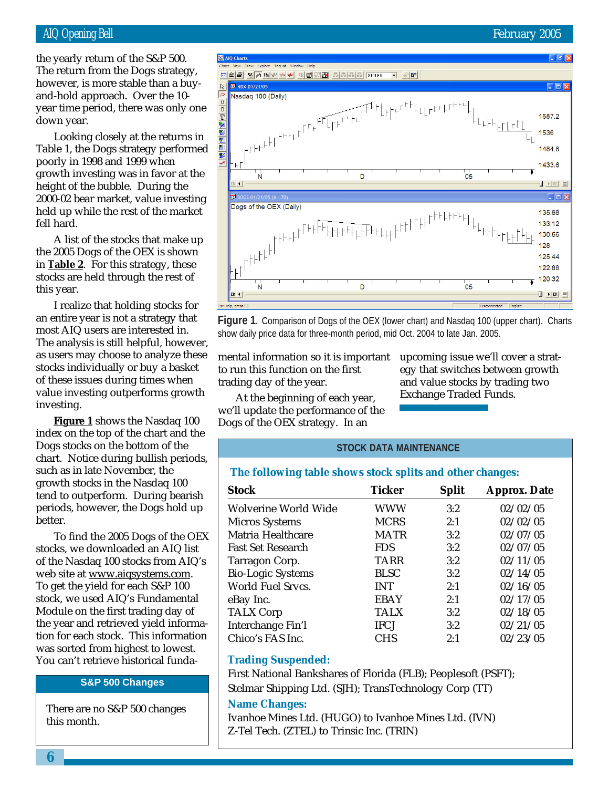# AIQ Opening Bell February 2005

and-hold approach. Over the 10the yearly return of the S&P 500. The return from the Dogs strategy, however, is more stable than a buyyear time period, there was only one down year.

Looking closely at the returns in Table 1, the Dogs strategy performed poorly in 1998 and 1999 when growth investing was in favor at the height of the bubble. During the 2000-02 bear market, value investing held up while the rest of the market fell hard.

A list of the stocks that make up the 2005 Dogs of the OEX is shown in **Table 2**. For this strategy, these stocks are held through the rest of this year.

I realize that holding stocks for an entire year is not a strategy that most AIQ users are interested in. The analysis is still helpful, however, as users may choose to analyze these stocks individually or buy a basket of these issues during times when value investing outperforms growth investing.

**Figure 1** shows the Nasdaq 100 index on the top of the chart and the Dogs stocks on the bottom of the chart. Notice during bullish periods, such as in late November, the growth stocks in the Nasdaq 100 tend to outperform. During bearish periods, however, the Dogs hold up better.

To find the 2005 Dogs of the OEX stocks, we downloaded an AIQ list of the Nasdaq 100 stocks from AIQ's web site at www.aiqsystems.com. To get the yield for each S&P 100 stock, we used AIQ's Fundamental Module on the first trading day of the year and retrieved yield information for each stock. This information was sorted from highest to lowest. You can't retrieve historical funda-

**S&P 500 Changes**

There are no S&P 500 changes this month.



**Figure 1.** Comparison of Dogs of the OEX (lower chart) and Nasdaq 100 (upper chart). Charts show daily price data for three-month period, mid Oct. 2004 to late Jan. 2005.

mental information so it is important to run this function on the first trading day of the year.

At the beginning of each year, we'll update the performance of the Dogs of the OEX strategy. In an

upcoming issue we'll cover a strategy that switches between growth and value stocks by trading two Exchange Traded Funds.

# **STOCK DATA MAINTENANCE**

# **The following table shows stock splits and other changes:**

| <b>Stock</b>                | <b>Ticker</b> | <b>Split</b> | <b>Approx. Date</b> |
|-----------------------------|---------------|--------------|---------------------|
| <b>Wolverine World Wide</b> | <b>WWW</b>    | 3:2          | 02/02/05            |
| <b>Micros Systems</b>       | <b>MCRS</b>   | 2:1          | 02/02/05            |
| Matria Healthcare           | <b>MATR</b>   | 3:2          | 02/07/05            |
| <b>Fast Set Research</b>    | <b>FDS</b>    | 3:2          | 02/07/05            |
| Tarragon Corp.              | <b>TARR</b>   | 3:2          | 02/11/05            |
| <b>Bio-Logic Systems</b>    | <b>BLSC</b>   | 3:2          | 02/14/05            |
| <b>World Fuel Srvcs.</b>    | <b>INT</b>    | 2:1          | 02/16/05            |
| eBay Inc.                   | <b>EBAY</b>   | 2:1          | 02/17/05            |
| <b>TALX Corp</b>            | <b>TALX</b>   | 3:2          | 02/18/05            |
| Interchange Fin'l           | <b>IFCJ</b>   | 3:2          | 02/21/05            |
| Chico's FAS Inc.            | <b>CHS</b>    | 2:1          | 02/23/05            |

# **Trading Suspended:**

First National Bankshares of Florida (FLB); Peoplesoft (PSFT);

Stelmar Shipping Ltd. (SJH); TransTechnology Corp (TT)

## **Name Changes:**

Ivanhoe Mines Ltd. (HUGO) to Ivanhoe Mines Ltd. (IVN) Z-Tel Tech. (ZTEL) to Trinsic Inc. (TRIN)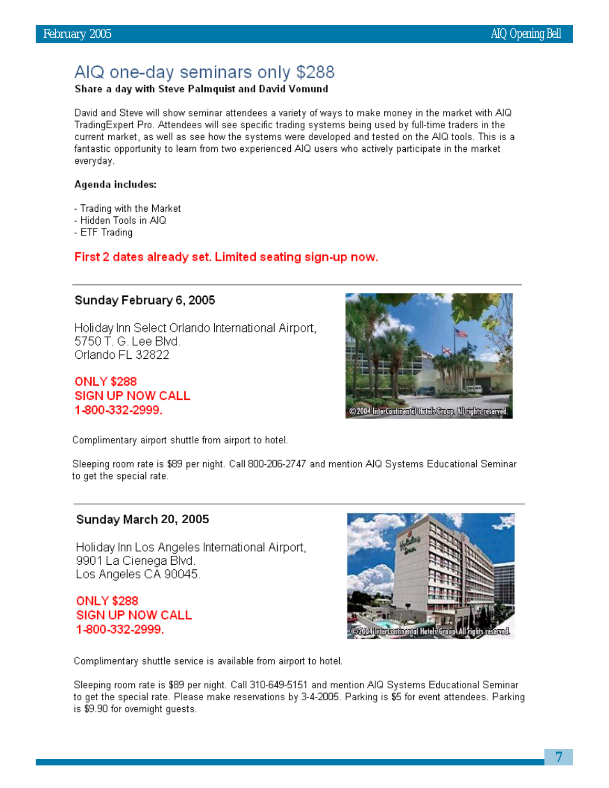# AIQ one-day seminars only \$288

# Share a day with Steve Palmquist and David Vomund

David and Steve will show seminar attendees a variety of ways to make money in the market with AIQ TradingExpert Pro. Attendees will see specific trading systems being used by full-time traders in the current market, as well as see how the systems were developed and tested on the AIQ tools. This is a fantastic opportunity to learn from two experienced AIQ users who actively participate in the market everyday.

# Agenda includes:

- Trading with the Market
- Hidden Tools in AIQ
- ETF Trading

# First 2 dates already set. Limited seating sign-up now.

# Sunday February 6, 2005

Holiday Inn Select Orlando International Airport, 5750 T. G. Lee Blvd. Orlando FL 32822

**ONLY \$288 SIGN UP NOW CALL** 1-800-332-2999.



Complimentary airport shuttle from airport to hotel.

Sleeping room rate is \$89 per night. Call 800-206-2747 and mention AIQ Systems Educational Seminar to get the special rate.

# **20, 2005**

Holiday Inn Los Angeles International Airport. 9901 La Cienega Blvd. Los Angeles CA 90045.

**ONLY \$288 SIGN UP NOW CALL** 1-800-332-2999.



Complimentary shuttle service is available from airport to hotel.

Sleeping room rate is \$89 per night. Call 310-649-5151 and mention AIQ Systems Educational Seminar to get the special rate. Please make reservations by 3-4-2005. Parking is \$5 for event attendees. Parking is \$9.90 for overnight guests.